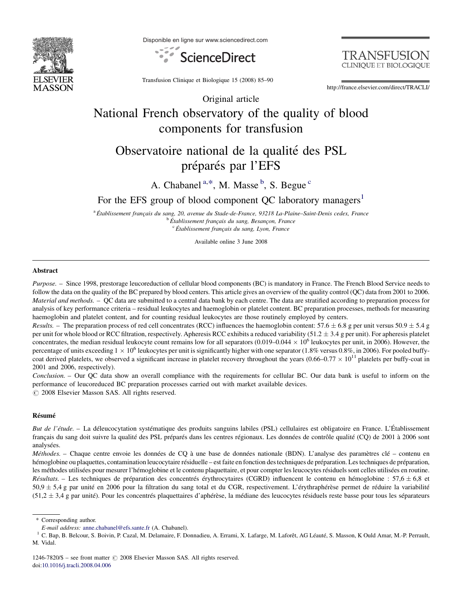

Disponible en ligne sur www.sciencedirect.com





Transfusion Clinique et Biologique 15 (2008) 85–90

http://france.elsevier.com/direct/TRACLI/

## Original article National French observatory of the quality of blood components for transfusion

# Observatoire national de la qualité des PSL préparés par l'EFS

## A. Chabanel<sup>a,\*</sup>, M. Masse<sup>b</sup>, S. Begue<sup>c</sup>

## For the EFS group of blood component QC laboratory managers<sup>1</sup>

<sup>a</sup> Établissement français du sang, 20, avenue du Stade-de-France, 93218 La-Plaine–Saint-Denis cedex, France<br><sup>b</sup> Établissement français du sang, Besançon, France <sup>b</sup> Établissement français du sang, Besançon, France<br><sup>c</sup> Établissement français du sang, Lyon, France

Available online 3 June 2008

#### Abstract

Purpose. – Since 1998, prestorage leucoreduction of cellular blood components (BC) is mandatory in France. The French Blood Service needs to follow the data on the quality of the BC prepared by blood centers. This article gives an overview of the quality control (QC) data from 2001 to 2006. Material and methods. - QC data are submitted to a central data bank by each centre. The data are stratified according to preparation process for analysis of key performance criteria – residual leukocytes and haemoglobin or platelet content. BC preparation processes, methods for measuring haemoglobin and platelet content, and for counting residual leukocytes are those routinely employed by centers.

*Results.* – The preparation process of red cell concentrates (RCC) influences the haemoglobin content:  $57.6 \pm 6.8$  g per unit versus  $50.9 \pm 5.4$  g per unit for whole blood or RCC filtration, respectively. Apheresis RCC exhibits a reduced variability (51.2  $\pm$  3.4 g per unit). For apheresis platelet concentrates, the median residual leukocyte count remains low for all separators  $(0.019-0.044 \times 10^6$  leukocytes per unit, in 2006). However, the percentage of units exceeding  $1 \times 10^6$  leukocytes per unit is significantly higher with one separator (1.8% versus 0.8%, in 2006). For pooled buffycoat derived platelets, we observed a significant increase in platelet recovery throughout the years  $(0.66-0.77 \times 10^{11}$  platelets per buffy-coat in 2001 and 2006, respectively).

Conclusion. – Our QC data show an overall compliance with the requirements for cellular BC. Our data bank is useful to inform on the performance of leucoreduced BC preparation processes carried out with market available devices.  $\circ$  2008 Elsevier Masson SAS. All rights reserved.

#### Résumé

But de l'étude. – La déleucocytation systématique des produits sanguins labiles (PSL) cellulaires est obligatoire en France. L'Établissement français du sang doit suivre la qualité des PSL préparés dans les centres régionaux. Les données de contrôle qualité (CQ) de 2001 à 2006 sont analysées.

Méthodes. – Chaque centre envoie les données de CQ à une base de données nationale (BDN). L'analyse des paramètres clé – contenu en hémoglobine ou plaquettes, contamination leucocytaire résiduelle – est faite en fonction des techniques de préparation. Les techniques de préparation, les méthodes utilisées pour mesurer l'hémoglobine et le contenu plaquettaire, et pour compter les leucocytes résiduels sont celles utilisées en routine. *Résultats.* – Les techniques de préparation des concentrés érythrocytaires (CGRD) influencent le contenu en hémoglobine : 57,6  $\pm$  6,8 et  $50.9 \pm 5.4$  g par unité en 2006 pour la filtration du sang total et du CGR, respectivement. L'érythraphérèse permet de réduire la variabilité  $(51,2 \pm 3,4$  g par unité). Pour les concentrés plaquettaires d'aphérèse, la médiane des leucocytes résiduels reste basse pour tous les séparateurs

\* Corresponding author.

E-mail address: [anne.chabanel@efs.sante.fr](mailto:anne.chabanel@efs.sante.fr) (A. Chabanel). 1 C. Bap, B. Lafarge, M. Laforex, AG Léauté, S. Masson, K Ould Amar, M.-P. Perrault, 1 C. Bap, B. Belcour, S. Boivin, P. Cazal, M. Delamaire, F. Donnadieu, A. Erram M. Vidal.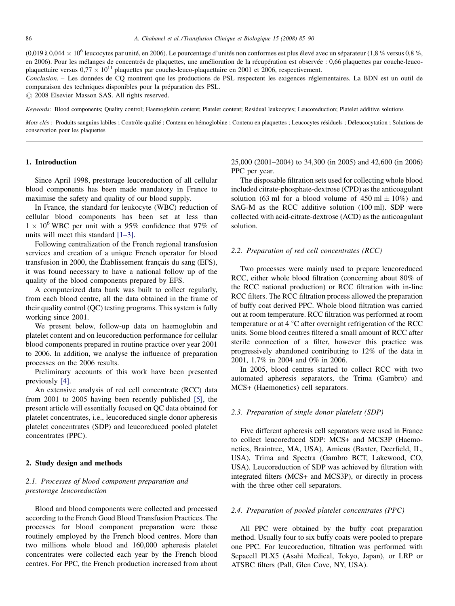$(0.019$  à  $0.044 \times 10^6$  leucocytes par unité, en 2006). Le pourcentage d'unités non conformes est plus élevé avec un séparateur (1,8 % versus 0,8 %, en 2006). Pour les mélanges de concentrés de plaquettes, une amélioration de la récupération est observée : 0,66 plaquettes par couche-leucoplaquettaire versus  $0.77 \times 10^{11}$  plaquettes par couche-leuco-plaquettaire en 2001 et 2006, respectivement.

Conclusion. – Les données de CQ montrent que les productions de PSL respectent les exigences réglementaires. La BDN est un outil de comparaison des techniques disponibles pour la préparation des PSL.

 $\odot$  2008 Elsevier Masson SAS. All rights reserved.

Keywords: Blood components; Quality control; Haemoglobin content; Platelet content; Residual leukocytes; Leucoreduction; Platelet additive solutions

Mots clés : Produits sanguins labiles ; Contrôle qualité ; Contenu en hémoglobine ; Contenu en plaquettes ; Leucocytes résiduels ; Déleucocytation ; Solutions de conservation pour les plaquettes

#### 1. Introduction

Since April 1998, prestorage leucoreduction of all cellular blood components has been made mandatory in France to maximise the safety and quality of our blood supply.

In France, the standard for leukocyte (WBC) reduction of cellular blood components has been set at less than  $1 \times 10^6$  WBC per unit with a 95% confidence that 97% of units will meet this standard [1–[3\].](#page-5-0)

Following centralization of the French regional transfusion services and creation of a unique French operator for blood transfusion in 2000, the Établissement français du sang (EFS), it was found necessary to have a national follow up of the quality of the blood components prepared by EFS.

A computerized data bank was built to collect regularly, from each blood centre, all the data obtained in the frame of their quality control (QC) testing programs. This system is fully working since 2001.

We present below, follow-up data on haemoglobin and platelet content and on leucoreduction performance for cellular blood components prepared in routine practice over year 2001 to 2006. In addition, we analyse the influence of preparation processes on the 2006 results.

Preliminary accounts of this work have been presented previously [\[4\].](#page-5-0)

An extensive analysis of red cell concentrate (RCC) data from 2001 to 2005 having been recently published [\[5\],](#page-5-0) the present article will essentially focused on QC data obtained for platelet concentrates, i.e., leucoreduced single donor apheresis platelet concentrates (SDP) and leucoreduced pooled platelet concentrates (PPC).

#### 2. Study design and methods

## 2.1. Processes of blood component preparation and prestorage leucoreduction

Blood and blood components were collected and processed according to the French Good Blood Transfusion Practices. The processes for blood component preparation were those routinely employed by the French blood centres. More than two millions whole blood and 160,000 apheresis platelet concentrates were collected each year by the French blood centres. For PPC, the French production increased from about 25,000 (2001–2004) to 34,300 (in 2005) and 42,600 (in 2006) PPC per year.

The disposable filtration sets used for collecting whole blood included citrate-phosphate-dextrose (CPD) as the anticoagulant solution (63 ml for a blood volume of  $450 \text{ ml} \pm 10\%$ ) and SAG-M as the RCC additive solution (100 ml). SDP were collected with acid-citrate-dextrose (ACD) as the anticoagulant solution.

#### 2.2. Preparation of red cell concentrates (RCC)

Two processes were mainly used to prepare leucoreduced RCC, either whole blood filtration (concerning about 80% of the RCC national production) or RCC filtration with in-line RCC filters. The RCC filtration process allowed the preparation of buffy coat derived PPC. Whole blood filtration was carried out at room temperature. RCC filtration was performed at room temperature or at 4  $\mathrm{^{\circ}C}$  after overnight refrigeration of the RCC units. Some blood centres filtered a small amount of RCC after sterile connection of a filter, however this practice was progressively abandoned contributing to 12% of the data in 2001, 1.7% in 2004 and 0% in 2006.

In 2005, blood centres started to collect RCC with two automated apheresis separators, the Trima (Gambro) and MCS+ (Haemonetics) cell separators.

### 2.3. Preparation of single donor platelets (SDP)

Five different apheresis cell separators were used in France to collect leucoreduced SDP: MCS+ and MCS3P (Haemonetics, Braintree, MA, USA), Amicus (Baxter, Deerfield, IL, USA), Trima and Spectra (Gambro BCT, Lakewood, CO, USA). Leucoreduction of SDP was achieved by filtration with integrated filters (MCS+ and MCS3P), or directly in process with the three other cell separators.

#### 2.4. Preparation of pooled platelet concentrates (PPC)

All PPC were obtained by the buffy coat preparation method. Usually four to six buffy coats were pooled to prepare one PPC. For leucoreduction, filtration was performed with Sepacell PLX5 (Asahi Medical, Tokyo, Japan), or LRP or ATSBC filters (Pall, Glen Cove, NY, USA).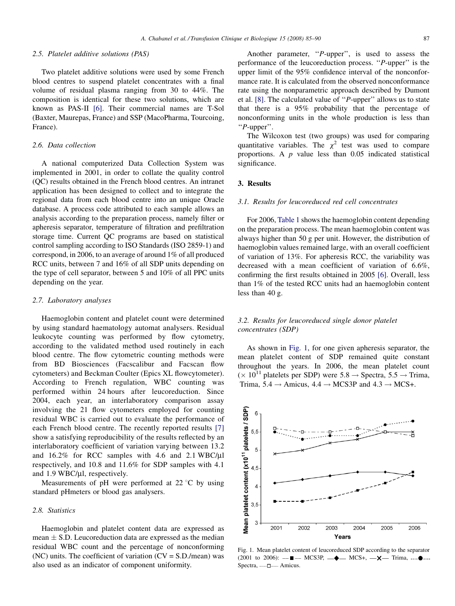#### 2.5. Platelet additive solutions (PAS)

Two platelet additive solutions were used by some French blood centres to suspend platelet concentrates with a final volume of residual plasma ranging from 30 to 44%. The composition is identical for these two solutions, which are known as PAS-II [\[6\].](#page-5-0) Their commercial names are T-Sol (Baxter, Maurepas, France) and SSP (MacoPharma, Tourcoing, France).

#### 2.6. Data collection

A national computerized Data Collection System was implemented in 2001, in order to collate the quality control (QC) results obtained in the French blood centres. An intranet application has been designed to collect and to integrate the regional data from each blood centre into an unique Oracle database. A process code attributed to each sample allows an analysis according to the preparation process, namely filter or apheresis separator, temperature of filtration and prefiltration storage time. Current QC programs are based on statistical control sampling according to ISO Standards (ISO 2859-1) and correspond, in 2006, to an average of around 1% of all produced RCC units, between 7 and 16% of all SDP units depending on the type of cell separator, between 5 and 10% of all PPC units depending on the year.

#### 2.7. Laboratory analyses

Haemoglobin content and platelet count were determined by using standard haematology automat analysers. Residual leukocyte counting was performed by flow cytometry, according to the validated method used routinely in each blood centre. The flow cytometric counting methods were from BD Biosciences (Facscalibur and Facscan flow cytometers) and Beckman Coulter (Epics XL flowcytometer). According to French regulation, WBC counting was performed within 24 hours after leucoreduction. Since 2004, each year, an interlaboratory comparison assay involving the 21 flow cytometers employed for counting residual WBC is carried out to evaluate the performance of each French blood centre. The recently reported results [\[7\]](#page-5-0) show a satisfying reproducibility of the results reflected by an interlaboratory coefficient of variation varying between 13.2 and  $16.2\%$  for RCC samples with 4.6 and 2.1 WBC/ $\mu$ l respectively, and 10.8 and 11.6% for SDP samples with 4.1 and  $1.9$  WBC/ $\mu$ l, respectively.

Measurements of pH were performed at  $22^{\circ}$ C by using standard pHmeters or blood gas analysers.

#### 2.8. Statistics

Haemoglobin and platelet content data are expressed as mean  $\pm$  S.D. Leucoreduction data are expressed as the median residual WBC count and the percentage of nonconforming (NC) units. The coefficient of variation  $(CV = S.D./mean)$  was also used as an indicator of component uniformity.

Another parameter, ''P-upper'', is used to assess the performance of the leucoreduction process. ''P-upper'' is the upper limit of the 95% confidence interval of the nonconformance rate. It is calculated from the observed nonconformance rate using the nonparametric approach described by Dumont et al. [\[8\]](#page-5-0). The calculated value of ''P-upper'' allows us to state that there is a 95% probability that the percentage of nonconforming units in the whole production is less than ''P-upper''.

The Wilcoxon test (two groups) was used for comparing quantitative variables. The  $\chi^2$  test was used to compare proportions. A  $p$  value less than 0.05 indicated statistical significance.

### 3. Results

#### 3.1. Results for leucoreduced red cell concentrates

For 2006, [Table 1](#page-3-0) shows the haemoglobin content depending on the preparation process. The mean haemoglobin content was always higher than 50 g per unit. However, the distribution of haemoglobin values remained large, with an overall coefficient of variation of 13%. For apheresis RCC, the variability was decreased with a mean coefficient of variation of 6.6%, confirming the first results obtained in 2005 [\[6\]](#page-5-0). Overall, less than 1% of the tested RCC units had an haemoglobin content less than 40 g.

## 3.2. Results for leucoreduced single donor platelet concentrates (SDP)

As shown in Fig. 1, for one given apheresis separator, the mean platelet content of SDP remained quite constant throughout the years. In 2006, the mean platelet count  $(\times 10^{11}$  platelets per SDP) were 5.8  $\rightarrow$  Spectra, 5.5  $\rightarrow$  Trima, Trima,  $5.4 \rightarrow$  Amicus,  $4.4 \rightarrow$  MCS3P and  $4.3 \rightarrow$  MCS+.



Fig. 1. Mean platelet content of leucoreduced SDP according to the separator (2001 to 2006):  $-\blacksquare -$  MCS3P,  $-\spadesuit -$  MCS+,  $-\swarrow -$  Trima, .... $\spadesuit$ .... Spectra, ----- $\square$ ----- Amicus.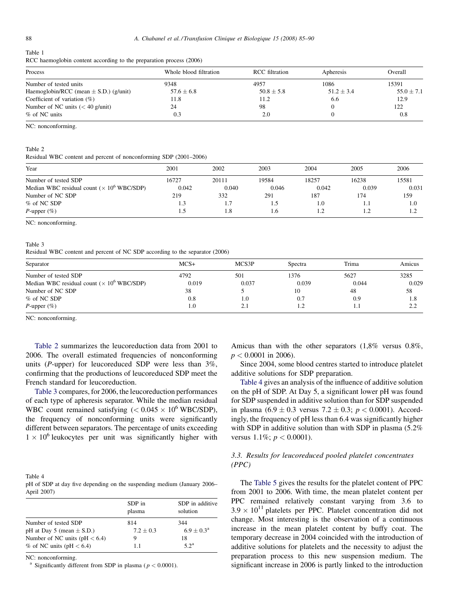#### <span id="page-3-0"></span>Table 1

| RCC haemoglobin content according to the preparation process (2006) |  |  |  |  |  |  |
|---------------------------------------------------------------------|--|--|--|--|--|--|
|---------------------------------------------------------------------|--|--|--|--|--|--|

| Process                                    | Whole blood filtration | <b>RCC</b> filtration | Apheresis      | Overall        |
|--------------------------------------------|------------------------|-----------------------|----------------|----------------|
| Number of tested units                     | 9348                   | 4957                  | 1086           | 15391          |
| Haemoglobin/RCC (mean $\pm$ S.D.) (g/unit) | $57.6 \pm 6.8$         | $50.8 \pm 5.8$        | $51.2 \pm 3.4$ | $55.0 \pm 7.1$ |
| Coefficient of variation $(\%)$            | 11.8                   | 11.2                  | 6.6            | 12.9           |
| Number of NC units $(< 40$ g/unit)         | 24                     | 98                    |                | 122            |
| % of NC units                              | 0.3                    | 2.0                   |                | 0.8            |

NC: nonconforming.

#### Table 2

Residual WBC content and percent of nonconforming SDP (2001–2006)

| Year                                              | 2001  | 2002  | 2003  | 2004  | 2005  | 2006  |
|---------------------------------------------------|-------|-------|-------|-------|-------|-------|
| Number of tested SDP                              | 16727 | 20111 | 19584 | 18257 | 16238 | 15581 |
| Median WBC residual count $(\times 10^6$ WBC/SDP) | 0.042 | 0.040 | 0.046 | 0.042 | 0.039 | 0.031 |
| Number of NC SDP                                  | 219   | 332   | 291   | 187   | 174   | 159   |
| % of NC SDP                                       | 1.3   | 1.7   | L.)   | 1.0   | 1.1   | 1.0   |
| P-upper $(\%)$                                    | 1.5   | 1.8   | 1.6   |       |       |       |

NC: nonconforming.

#### Table 3

Residual WBC content and percent of NC SDP according to the separator (2006)

| Separator                                         | $MCS+$ | MCS3P | Spectra | Trima | Amicus               |
|---------------------------------------------------|--------|-------|---------|-------|----------------------|
| Number of tested SDP                              | 4792   | 501   | 1376    | 5627  | 3285                 |
| Median WBC residual count $(\times 10^6$ WBC/SDP) | 0.019  | 0.037 | 0.039   | 0.044 | 0.029                |
| Number of NC SDP                                  | 38     |       | 10      | 48    | 58                   |
| % of NC SDP                                       | 0.8    | 1.0   | 0.7     | 0.9   | 1.8                  |
| P-upper $(\%)$                                    | 1.0    | 2.1   | 1.2     | 1.1   | $\gamma$<br><u>.</u> |

NC: nonconforming.

Table 2 summarizes the leucoreduction data from 2001 to 2006. The overall estimated frequencies of nonconforming units ( $P$ -upper) for leucoreduced SDP were less than  $3\%$ , confirming that the productions of leucoreduced SDP meet the French standard for leucoreduction.

Table 3 compares, for 2006, the leucoreduction performances of each type of apheresis separator. While the median residual WBC count remained satisfying  $(< 0.045 \times 10^6$  WBC/SDP), the frequency of nonconforming units were significantly different between separators. The percentage of units exceeding  $1 \times 10^6$  leukocytes per unit was significantly higher with

| Table 4                                                                 |  |
|-------------------------------------------------------------------------|--|
| pH of SDP at day five depending on the suspending medium (January 2006– |  |
| April 2007)                                                             |  |

|                                   | SDP in<br>plasma | SDP in additive<br>solution |
|-----------------------------------|------------------|-----------------------------|
| Number of tested SDP              | 814              | 344                         |
| pH at Day 5 (mean $\pm$ S.D.)     | $7.2 \pm 0.3$    | $6.9 \pm 0.3^{\rm a}$       |
| Number of NC units ( $pH < 6.4$ ) | 9                | 18                          |
| $%$ of NC units (pH $<$ 6.4)      | 1.1              | 5.2 <sup>a</sup>            |

NC: nonconforming.

<sup>a</sup> Significantly different from SDP in plasma ( $p < 0.0001$ ).

Amicus than with the other separators (1,8% versus 0.8%,  $p < 0.0001$  in 2006).

Since 2004, some blood centres started to introduce platelet additive solutions for SDP preparation.

Table 4 gives an analysis of the influence of additive solution on the pH of SDP. At Day 5, a significant lower pH was found for SDP suspended in additive solution than for SDP suspended in plasma  $(6.9 \pm 0.3$  versus  $7.2 \pm 0.3$ ;  $p < 0.0001$ ). Accordingly, the frequency of pH less than 6.4 was significantly higher with SDP in additive solution than with SDP in plasma  $(5.2\%$ versus  $1.1\%$ ;  $p < 0.0001$ ).

## 3.3. Results for leucoreduced pooled platelet concentrates (PPC)

The [Table 5](#page-4-0) gives the results for the platelet content of PPC from 2001 to 2006. With time, the mean platelet content per PPC remained relatively constant varying from 3.6 to  $3.9 \times 10^{11}$  platelets per PPC. Platelet concentration did not change. Most interesting is the observation of a continuous increase in the mean platelet content by buffy coat. The temporary decrease in 2004 coincided with the introduction of additive solutions for platelets and the necessity to adjust the preparation process to this new suspension medium. The significant increase in 2006 is partly linked to the introduction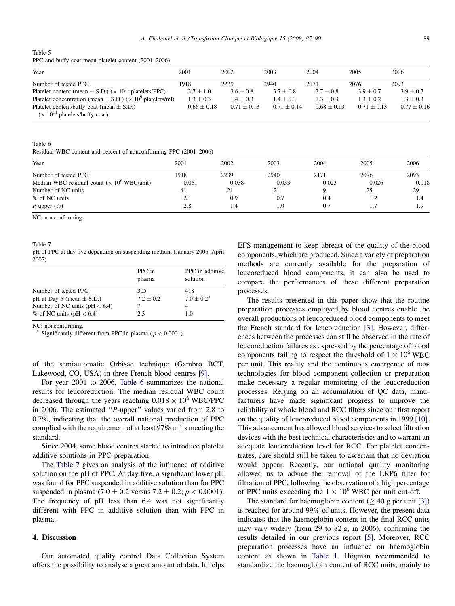<span id="page-4-0"></span>Table 5 PPC and buffy coat mean platelet content (2001–2006)

| Year                                                                                     | 2001            | 2002            | 2003          | 2004            | 2005            | 2006            |
|------------------------------------------------------------------------------------------|-----------------|-----------------|---------------|-----------------|-----------------|-----------------|
| Number of tested PPC                                                                     | 1918            | 2239            | 2940          | 2171            | 2076            | 2093            |
| Platelet content (mean $\pm$ S.D.) ( $\times$ 10 <sup>11</sup> platelets/PPC)            | $3.7 \pm 1.0$   | $3.6 \pm 0.8$   | $3.7 + 0.8$   | $3.7 + 0.8$     | $3.9 + 0.7$     | $3.9 \pm 0.7$   |
| Platelet concentration (mean $\pm$ S.D.) ( $\times$ 10 <sup>9</sup> platelets/ml)        | $1.3 \pm 0.3$   | $1.4 + 0.3$     | $1.4 + 0.3$   | $1.3 + 0.3$     | $1.3 + 0.2$     | $1.3 + 0.3$     |
| Platelet content/buffy coat (mean $\pm$ S.D.)<br>$(\times 10^{11}$ platelets/buffy coat) | $0.66 \pm 0.18$ | $0.71 \pm 0.13$ | $0.71 + 0.14$ | $0.68 \pm 0.13$ | $0.71 \pm 0.13$ | $0.77 \pm 0.16$ |

Table 6

Residual WBC content and percent of nonconforming PPC (2001–2006)

| Year                                               | 2001  | 2002  | 2003  | 2004  | 2005  | 2006  |
|----------------------------------------------------|-------|-------|-------|-------|-------|-------|
| Number of tested PPC                               | 1918  | 2239  | 2940  | 2171  | 2076  | 2093  |
| Median WBC residual count $(\times 10^6$ WBC/unit) | 0.061 | 0.038 | 0.033 | 0.023 | 0.026 | 0.018 |
| Number of NC units                                 | 41    | 21    | 21    |       | 25    | 29    |
| % of NC units                                      | 2.1   | 0.9   | 0.7   | 0.4   | 1.2   | 1.4   |
| P-upper $(\%)$                                     | 2.8   | 1.4   | 1.0   | 0.7   | 1.7   | 1.9   |

NC: nonconforming.

pH of PPC at day five depending on suspending medium (January 2006–April 2007)

|                                   | PPC in<br>plasma | PPC in additive<br>solution |
|-----------------------------------|------------------|-----------------------------|
| Number of tested PPC              | 305              | 418                         |
| pH at Day 5 (mean $\pm$ S.D.)     | $7.2 \pm 0.2$    | $7.0 \pm 0.2^{\rm a}$       |
| Number of NC units ( $pH < 6.4$ ) |                  |                             |
| $\%$ of NC units (pH $< 6.4$ )    | 2.3              | 1.0                         |

NC: nonconforming.

Significantly different from PPC in plasma ( $p < 0.0001$ ).

of the semiautomatic Orbisac technique (Gambro BCT, Lakewood, CO, USA) in three French blood centres [\[9\].](#page-5-0)

For year 2001 to 2006, Table 6 summarizes the national results for leucoreduction. The median residual WBC count decreased through the years reaching  $0.018 \times 10^6$  WBC/PPC in 2006. The estimated ''P-upper'' values varied from 2.8 to 0.7%, indicating that the overall national production of PPC complied with the requirement of at least 97% units meeting the standard.

Since 2004, some blood centres started to introduce platelet additive solutions in PPC preparation.

The Table 7 gives an analysis of the influence of additive solution on the pH of PPC. At day five, a significant lower pH was found for PPC suspended in additive solution than for PPC suspended in plasma (7.0  $\pm$  0.2 versus 7.2  $\pm$  0.2;  $p < 0.0001$ ). The frequency of pH less than 6.4 was not significantly different with PPC in additive solution than with PPC in plasma.

## 4. Discussion

Our automated quality control Data Collection System offers the possibility to analyse a great amount of data. It helps EFS management to keep abreast of the quality of the blood components, which are produced. Since a variety of preparation methods are currently available for the preparation of leucoreduced blood components, it can also be used to compare the performances of these different preparation processes.

The results presented in this paper show that the routine preparation processes employed by blood centres enable the overall productions of leucoreduced blood components to meet the French standard for leucoreduction [\[3\]](#page-5-0). However, differences between the processes can still be observed in the rate of leucoreduction failures as expressed by the percentage of blood components failing to respect the threshold of  $1 \times 10^6$  WBC per unit. This reality and the continuous emergence of new technologies for blood component collection or preparation make necessary a regular monitoring of the leucoreduction processes. Relying on an accumulation of QC data, manufacturers have made significant progress to improve the reliability of whole blood and RCC filters since our first report on the quality of leucoreduced blood components in 1999 [\[10\]](#page-5-0). This advancement has allowed blood services to select filtration devices with the best technical characteristics and to warrant an adequate leucoreduction level for RCC. For platelet concentrates, care should still be taken to ascertain that no deviation would appear. Recently, our national quality monitoring allowed us to advice the removal of the LRP6 filter for filtration of PPC, following the observation of a high percentage of PPC units exceeding the  $1 \times 10^6$  WBC per unit cut-off.

The standard for haemoglobin content ( $\geq 40$  g per unit [\[3\]](#page-5-0)) is reached for around 99% of units. However, the present data indicates that the haemoglobin content in the final RCC units may vary widely (from 29 to 82 g, in 2006), confirming the results detailed in our previous report [\[5\]](#page-5-0). Moreover, RCC preparation processes have an influence on haemoglobin content as shown in [Table 1.](#page-3-0) Högman recommended to standardize the haemoglobin content of RCC units, mainly to

Table 7